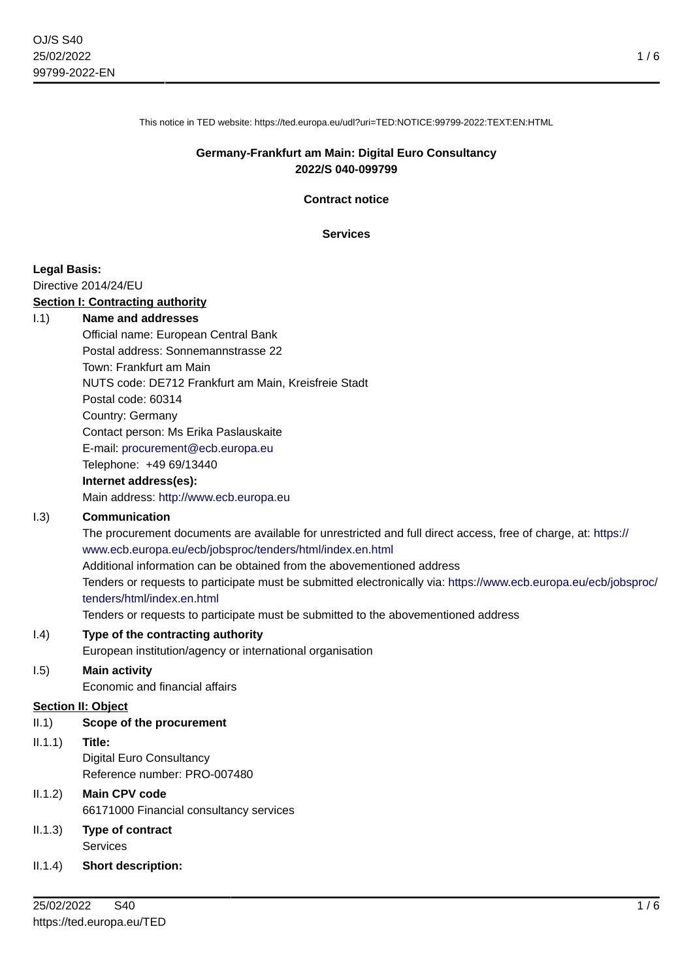1 / 6

This notice in TED website: https://ted.europa.eu/udl?uri=TED:NOTICE:99799-2022:TEXT:EN:HTML

#### **Germany-Frankfurt am Main: Digital Euro Consultancy 2022/S 040-099799**

**Contract notice**

**Services**

#### **Legal Basis:**

Directive 2014/24/EU

#### **Section I: Contracting authority**

#### I.1) **Name and addresses**

Official name: European Central Bank Postal address: Sonnemannstrasse 22 Town: Frankfurt am Main NUTS code: DE712 Frankfurt am Main, Kreisfreie Stadt Postal code: 60314 Country: Germany Contact person: Ms Erika Paslauskaite E-mail: [procurement@ecb.europa.eu](mailto:procurement@ecb.europa.eu) Telephone: +49 69/13440

#### **Internet address(es):**

Main address:<http://www.ecb.europa.eu>

#### I.3) **Communication**

The procurement documents are available for unrestricted and full direct access, free of charge, at: [https://](https://www.ecb.europa.eu/ecb/jobsproc/tenders/html/index.en.html) [www.ecb.europa.eu/ecb/jobsproc/tenders/html/index.en.html](https://www.ecb.europa.eu/ecb/jobsproc/tenders/html/index.en.html)

Additional information can be obtained from the abovementioned address

Tenders or requests to participate must be submitted electronically via: [https://www.ecb.europa.eu/ecb/jobsproc/](https://www.ecb.europa.eu/ecb/jobsproc/tenders/html/index.en.html) [tenders/html/index.en.html](https://www.ecb.europa.eu/ecb/jobsproc/tenders/html/index.en.html)

Tenders or requests to participate must be submitted to the abovementioned address

#### I.4) **Type of the contracting authority**

European institution/agency or international organisation

## I.5) **Main activity**

Economic and financial affairs

#### **Section II: Object**

- II.1) **Scope of the procurement**
- II.1.1) **Title:** Digital Euro Consultancy Reference number: PRO-007480
- II.1.2) **Main CPV code** 66171000 Financial consultancy services
- II.1.3) **Type of contract** Services
- II.1.4) **Short description:**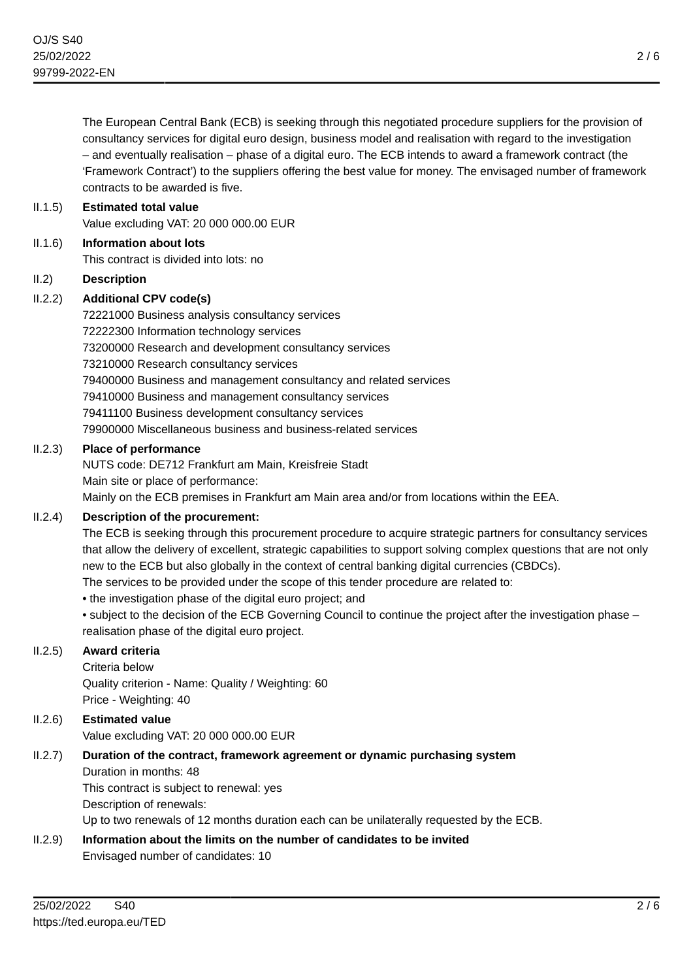The European Central Bank (ECB) is seeking through this negotiated procedure suppliers for the provision of consultancy services for digital euro design, business model and realisation with regard to the investigation – and eventually realisation – phase of a digital euro. The ECB intends to award a framework contract (the 'Framework Contract') to the suppliers offering the best value for money. The envisaged number of framework contracts to be awarded is five.

## II.1.5) **Estimated total value** Value excluding VAT: 20 000 000.00 EUR

II.1.6) **Information about lots**

This contract is divided into lots: no

# II.2) **Description**

# II.2.2) **Additional CPV code(s)**

72221000 Business analysis consultancy services 72222300 Information technology services 73200000 Research and development consultancy services 73210000 Research consultancy services 79400000 Business and management consultancy and related services 79410000 Business and management consultancy services 79411100 Business development consultancy services 79900000 Miscellaneous business and business-related services

# II.2.3) **Place of performance**

NUTS code: DE712 Frankfurt am Main, Kreisfreie Stadt Main site or place of performance:

Mainly on the ECB premises in Frankfurt am Main area and/or from locations within the EEA.

# II.2.4) **Description of the procurement:**

The ECB is seeking through this procurement procedure to acquire strategic partners for consultancy services that allow the delivery of excellent, strategic capabilities to support solving complex questions that are not only new to the ECB but also globally in the context of central banking digital currencies (CBDCs). The services to be provided under the scope of this tender procedure are related to:

- the investigation phase of the digital euro project; and
- subject to the decision of the ECB Governing Council to continue the project after the investigation phase realisation phase of the digital euro project.

# II.2.5) **Award criteria**

Criteria below Quality criterion - Name: Quality / Weighting: 60

Price - Weighting: 40

# II.2.6) **Estimated value**

Value excluding VAT: 20 000 000.00 EUR

# II.2.7) **Duration of the contract, framework agreement or dynamic purchasing system**

Duration in months: 48

This contract is subject to renewal: yes

Description of renewals:

Up to two renewals of 12 months duration each can be unilaterally requested by the ECB.

# II.2.9) **Information about the limits on the number of candidates to be invited**

Envisaged number of candidates: 10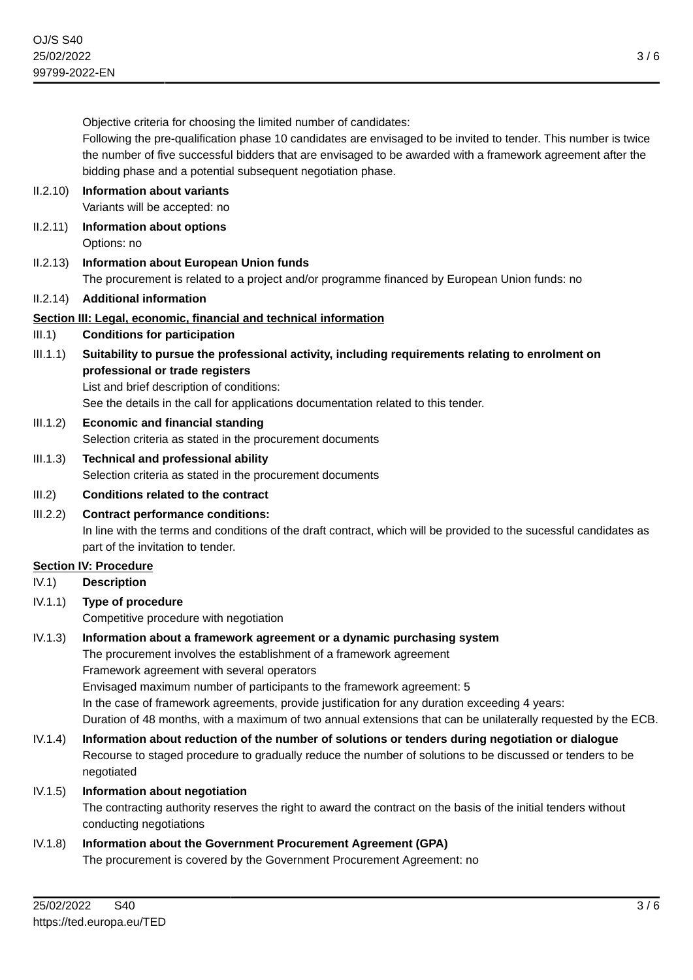Objective criteria for choosing the limited number of candidates:

Following the pre-qualification phase 10 candidates are envisaged to be invited to tender. This number is twice the number of five successful bidders that are envisaged to be awarded with a framework agreement after the bidding phase and a potential subsequent negotiation phase.

#### II.2.10) **Information about variants** Variants will be accepted: no

II.2.11) **Information about options**

Options: no

II.2.13) **Information about European Union funds** The procurement is related to a project and/or programme financed by European Union funds: no

# II.2.14) **Additional information**

# **Section III: Legal, economic, financial and technical information**

- III.1) **Conditions for participation**
- III.1.1) **Suitability to pursue the professional activity, including requirements relating to enrolment on professional or trade registers**

List and brief description of conditions:

See the details in the call for applications documentation related to this tender.

- III.1.2) **Economic and financial standing** Selection criteria as stated in the procurement documents
- III.1.3) **Technical and professional ability** Selection criteria as stated in the procurement documents
- III.2) **Conditions related to the contract**
- III.2.2) **Contract performance conditions:** In line with the terms and conditions of the draft contract, which will be provided to the sucessful candidates as part of the invitation to tender.

# **Section IV: Procedure**

# IV.1) **Description**

- IV.1.1) **Type of procedure** Competitive procedure with negotiation
- IV.1.3) **Information about a framework agreement or a dynamic purchasing system**

The procurement involves the establishment of a framework agreement Framework agreement with several operators Envisaged maximum number of participants to the framework agreement: 5

In the case of framework agreements, provide justification for any duration exceeding 4 years:

- Duration of 48 months, with a maximum of two annual extensions that can be unilaterally requested by the ECB.
- IV.1.4) **Information about reduction of the number of solutions or tenders during negotiation or dialogue** Recourse to staged procedure to gradually reduce the number of solutions to be discussed or tenders to be negotiated
- IV.1.5) **Information about negotiation**

The contracting authority reserves the right to award the contract on the basis of the initial tenders without conducting negotiations

# IV.1.8) **Information about the Government Procurement Agreement (GPA)** The procurement is covered by the Government Procurement Agreement: no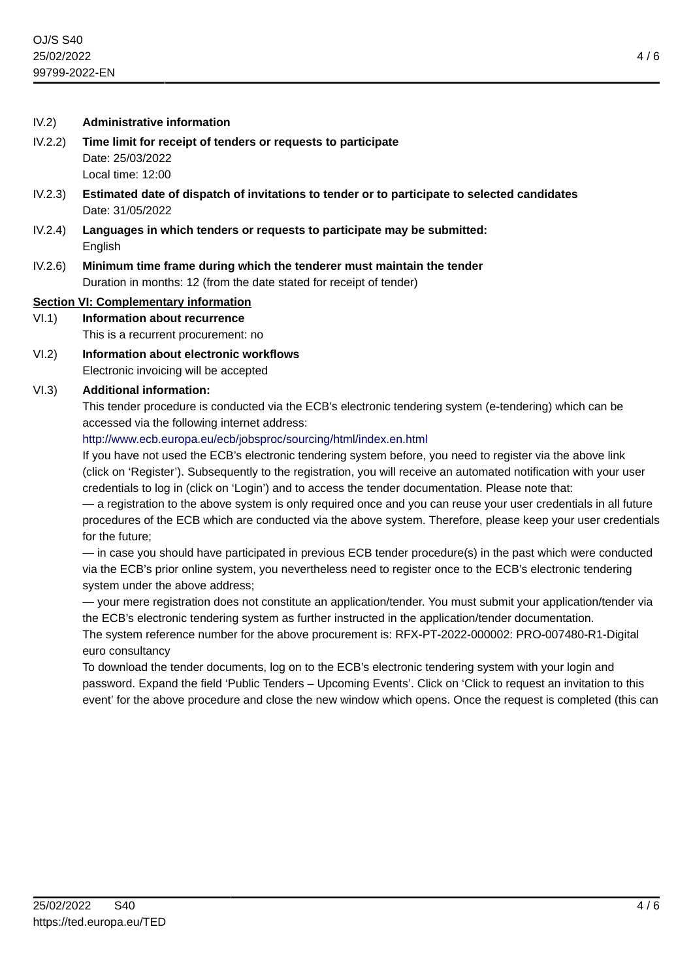#### IV.2) **Administrative information**

- IV.2.2) **Time limit for receipt of tenders or requests to participate** Date: 25/03/2022 Local time: 12:00
- IV.2.3) **Estimated date of dispatch of invitations to tender or to participate to selected candidates** Date: 31/05/2022
- IV.2.4) **Languages in which tenders or requests to participate may be submitted:** English
- IV.2.6) **Minimum time frame during which the tenderer must maintain the tender** Duration in months: 12 (from the date stated for receipt of tender)

#### **Section VI: Complementary information**

# VI.1) **Information about recurrence**

This is a recurrent procurement: no

VI.2) **Information about electronic workflows** Electronic invoicing will be accepted

#### VI.3) **Additional information:**

This tender procedure is conducted via the ECB's electronic tendering system (e-tendering) which can be accessed via the following internet address:

#### <http://www.ecb.europa.eu/ecb/jobsproc/sourcing/html/index.en.html>

If you have not used the ECB's electronic tendering system before, you need to register via the above link (click on 'Register'). Subsequently to the registration, you will receive an automated notification with your user credentials to log in (click on 'Login') and to access the tender documentation. Please note that:

— a registration to the above system is only required once and you can reuse your user credentials in all future procedures of the ECB which are conducted via the above system. Therefore, please keep your user credentials for the future;

— in case you should have participated in previous ECB tender procedure(s) in the past which were conducted via the ECB's prior online system, you nevertheless need to register once to the ECB's electronic tendering system under the above address;

— your mere registration does not constitute an application/tender. You must submit your application/tender via the ECB's electronic tendering system as further instructed in the application/tender documentation.

The system reference number for the above procurement is: RFX-PT-2022-000002: PRO-007480-R1-Digital euro consultancy

To download the tender documents, log on to the ECB's electronic tendering system with your login and password. Expand the field 'Public Tenders – Upcoming Events'. Click on 'Click to request an invitation to this event' for the above procedure and close the new window which opens. Once the request is completed (this can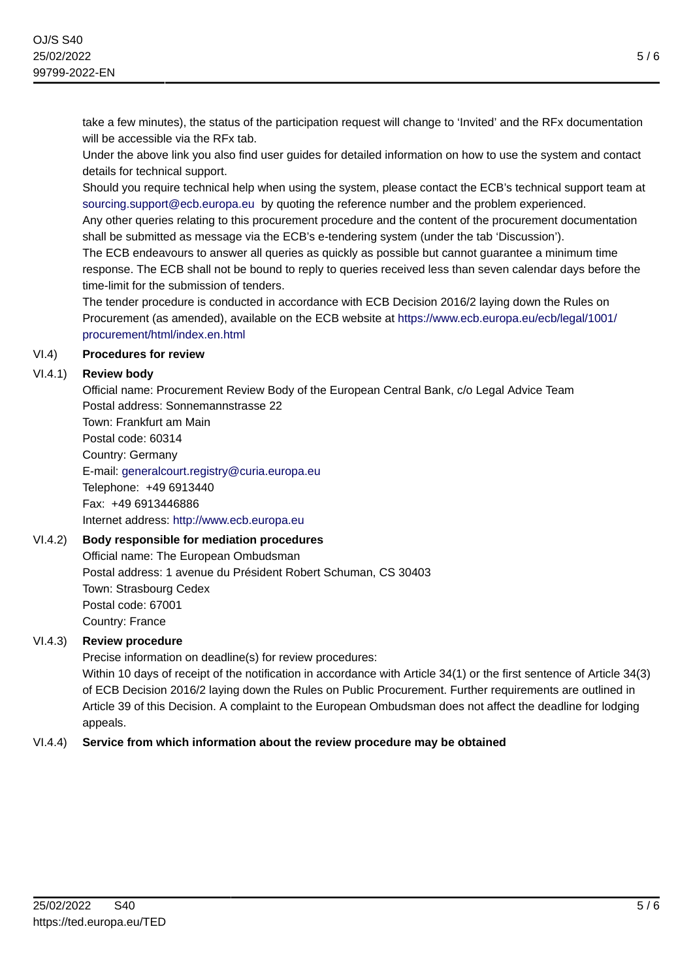take a few minutes), the status of the participation request will change to 'Invited' and the RFx documentation will be accessible via the RFx tab.

Under the above link you also find user guides for detailed information on how to use the system and contact details for technical support.

Should you require technical help when using the system, please contact the ECB's technical support team at [sourcing.support@ecb.europa.eu](mailto:sourcing.support@ecb.europa.eu) by quoting the reference number and the problem experienced.

Any other queries relating to this procurement procedure and the content of the procurement documentation shall be submitted as message via the ECB's e-tendering system (under the tab 'Discussion').

The ECB endeavours to answer all queries as quickly as possible but cannot guarantee a minimum time response. The ECB shall not be bound to reply to queries received less than seven calendar days before the time-limit for the submission of tenders.

The tender procedure is conducted in accordance with ECB Decision 2016/2 laying down the Rules on Procurement (as amended), available on the ECB website at [https://www.ecb.europa.eu/ecb/legal/1001/](https://www.ecb.europa.eu/ecb/legal/1001/procurement/html/index.en.html) [procurement/html/index.en.html](https://www.ecb.europa.eu/ecb/legal/1001/procurement/html/index.en.html)

## VI.4) **Procedures for review**

## VI.4.1) **Review body**

Official name: Procurement Review Body of the European Central Bank, c/o Legal Advice Team Postal address: Sonnemannstrasse 22

Town: Frankfurt am Main Postal code: 60314 Country: Germany E-mail: [generalcourt.registry@curia.europa.eu](mailto:generalcourt.registry@curia.europa.eu) Telephone: +49 6913440 Fax: +49 6913446886 Internet address: <http://www.ecb.europa.eu>

# VI.4.2) **Body responsible for mediation procedures**

Official name: The European Ombudsman Postal address: 1 avenue du Président Robert Schuman, CS 30403 Town: Strasbourg Cedex Postal code: 67001 Country: France

# VI.4.3) **Review procedure**

Precise information on deadline(s) for review procedures:

Within 10 days of receipt of the notification in accordance with Article 34(1) or the first sentence of Article 34(3) of ECB Decision 2016/2 laying down the Rules on Public Procurement. Further requirements are outlined in Article 39 of this Decision. A complaint to the European Ombudsman does not affect the deadline for lodging appeals.

# VI.4.4) **Service from which information about the review procedure may be obtained**

5 / 6